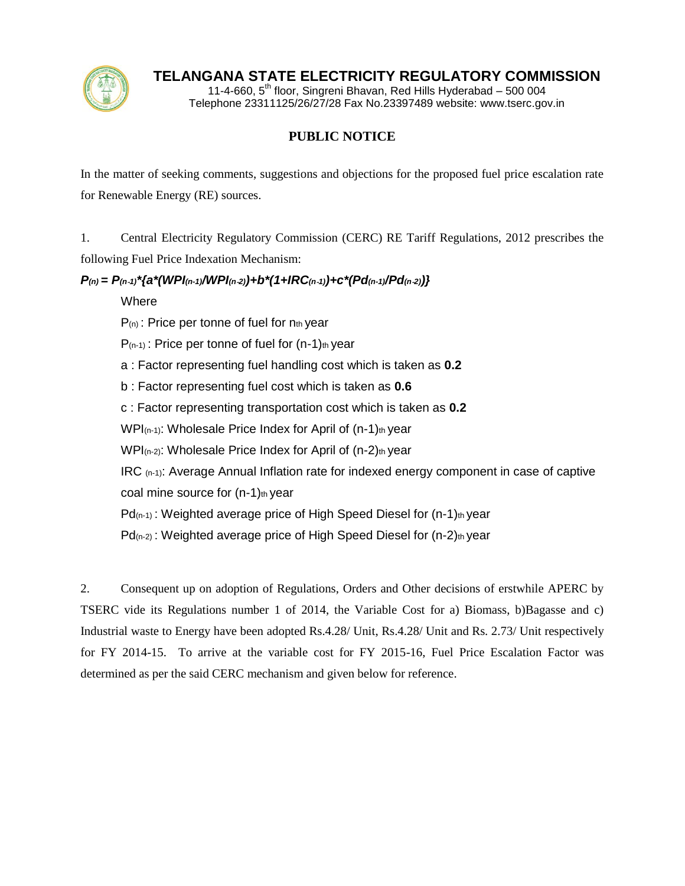

## **TELANGANA STATE ELECTRICITY REGULATORY COMMISSION**

11-4-660,  $5<sup>th</sup>$  floor, Singreni Bhavan, Red Hills Hyderabad – 500 004 Telephone 23311125/26/27/28 Fax No.23397489 website: www.tserc.gov.in

## **PUBLIC NOTICE**

In the matter of seeking comments, suggestions and objections for the proposed fuel price escalation rate for Renewable Energy (RE) sources.

1. Central Electricity Regulatory Commission (CERC) RE Tariff Regulations, 2012 prescribes the following Fuel Price Indexation Mechanism:

## *P(n) = P(n*‐*1)\*{a\*(WPI(n-1)/WPI(n*‐*2))+b\*(1+IRC(n*‐*1))+c\*(Pd(n-1)/Pd(n*‐*2))}*

**Where** 

 $P_{(n)}$ : Price per tonne of fuel for  $n_{th}$  year

 $P_{(n-1)}$ : Price per tonne of fuel for  $(n-1)$ th year

a : Factor representing fuel handling cost which is taken as **0.2**

b : Factor representing fuel cost which is taken as **0.6**

c : Factor representing transportation cost which is taken as **0.2**

 $WPI_{(n-1)}$ : Wholesale Price Index for April of  $(n-1)$ th year

 $WPI_{(n-2)}$ : Wholesale Price Index for April of  $(n-2)$ th year

IRC (n-1): Average Annual Inflation rate for indexed energy component in case of captive coal mine source for  $(n-1)$ th year

 $Pd_{(n-1)}$ : Weighted average price of High Speed Diesel for  $(n-1)$ th year

 $Pd_{(n-2)}$ : Weighted average price of High Speed Diesel for  $(n-2)$ th year

2. Consequent up on adoption of Regulations, Orders and Other decisions of erstwhile APERC by TSERC vide its Regulations number 1 of 2014, the Variable Cost for a) Biomass, b)Bagasse and c) Industrial waste to Energy have been adopted Rs.4.28/ Unit, Rs.4.28/ Unit and Rs. 2.73/ Unit respectively for FY 2014-15. To arrive at the variable cost for FY 2015-16, Fuel Price Escalation Factor was determined as per the said CERC mechanism and given below for reference.